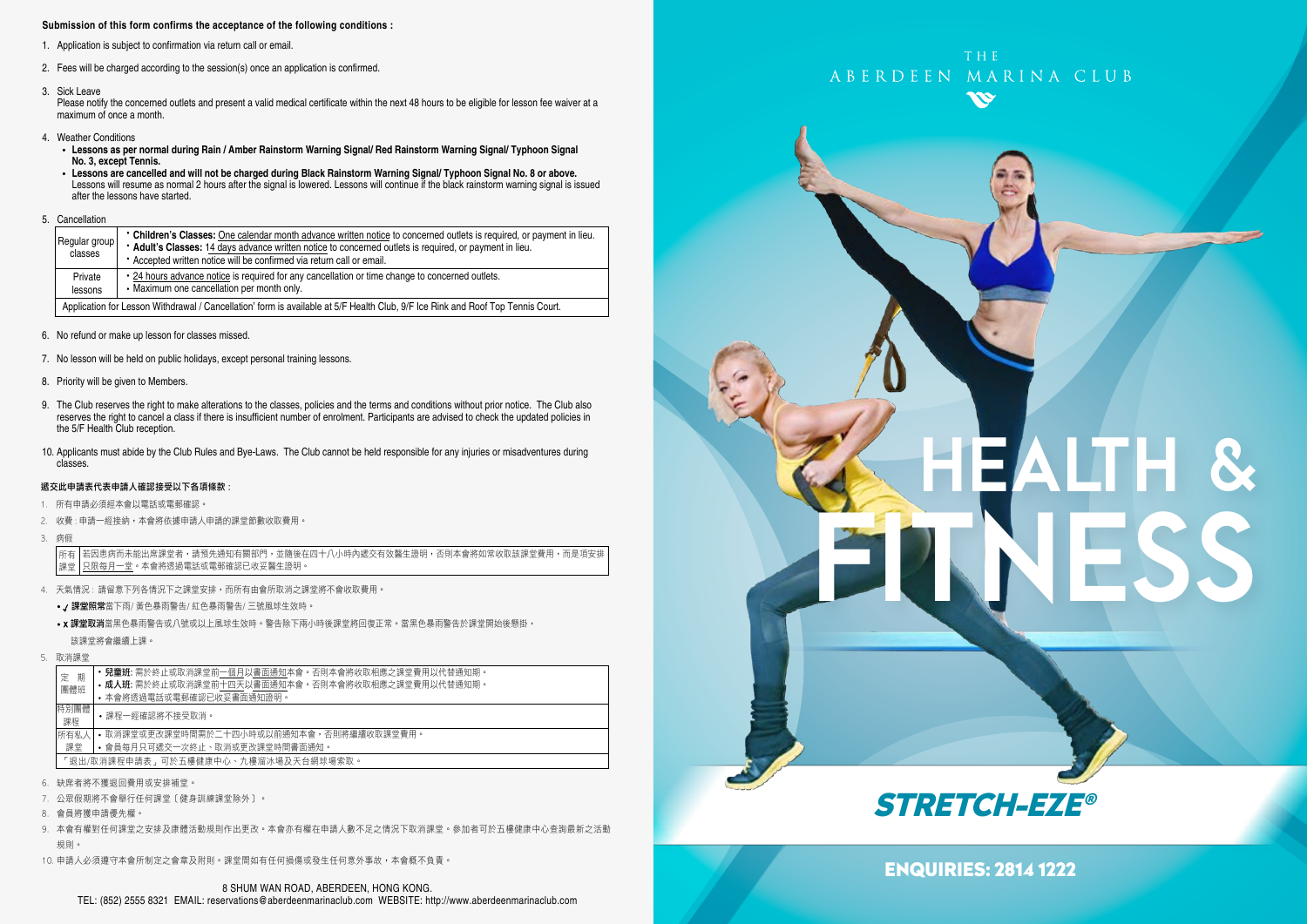#### **Submission of this form confirms the acceptance of the following conditions :**

- 1. Application is subject to confirmation via return call or email.
- 2. Fees will be charged according to the session(s) once an application is confirmed.
- 3. Sick Leave

Please notify the concerned outlets and present a valid medical certificate within the next 48 hours to be eligible for lesson fee waiver at a maximum of once a month.

- 4. Weather Conditions
	- **Lessons as per normal during Rain / Amber Rainstorm Warning Signal/ Red Rainstorm Warning Signal/ Typhoon Signal No. 3, except Tennis.**
- Lessons are cancelled and will not be charged during Black Rainstorm Warning Signal/ Typhoon Signal No. 8 or above.<br>Lessons will resume as normal 2 hours after the signal is lowered. Lessons will continue if the black ra after the lessons have started.
- 5. Cancellation

| Regular group<br>classes                                                                                                        | • Children's Classes: One calendar month advance written notice to concerned outlets is required, or payment in lieu.<br>* Adult's Classes: 14 days advance written notice to concerned outlets is required, or payment in lieu.<br>• Accepted written notice will be confirmed via return call or email. |  |  |
|---------------------------------------------------------------------------------------------------------------------------------|-----------------------------------------------------------------------------------------------------------------------------------------------------------------------------------------------------------------------------------------------------------------------------------------------------------|--|--|
| Private<br>lessons                                                                                                              | • 24 hours advance notice is required for any cancellation or time change to concerned outlets.<br>• Maximum one cancellation per month only.                                                                                                                                                             |  |  |
| Application for Lesson Withdrawal / Cancellation' form is available at 5/F Health Club, 9/F Ice Rink and Roof Top Tennis Court. |                                                                                                                                                                                                                                                                                                           |  |  |

- 6. No refund or make up lesson for classes missed.
- 7. No lesson will be held on public holidays, except personal training lessons.
- 8. Priority will be given to Members.
- 9. The Club reserves the right to make alterations to the classes, policies and the terms and conditions without prior notice. The Club also reserves the right to cancel a class if there is insufficient number of enrolment. Participants are advised to check the updated policies in the 5/F Health Club reception.
- 10. Applicants must abide by the Club Rules and Bye-Laws. The Club cannot be held responsible for any injuries or misadventures during classes.

#### 遞交此申請表代表申請人確認接受以下各項條款 :

- 1. 所有申請必須經本會以電話或電郵確認。
- 2. 收費: 申請一經接納, 本會將依據申請人申請的課堂節數收取費用,
- 3. 病假

若因患病而未能出席課堂者,請預先通知有關部門,並隨後在四十八小時內遞交有效醫生證明,否則本會將如常收取該課堂費用,而是項安排 只限每月一堂。本會將透過電話或電郵確認已收妥醫生證明。 所有 課堂

- 4. 天氣情況 : 請留意下列各情況下之課堂安排,而所有由會所取消之課堂將不會收取費用。
	- / 課堂照常當下雨/ 黃色暴雨警告/ 紅色暴雨警告/ 三號風球生效時。
	- x 課堂取消當黑色暴雨警告或八號或以上風球生效時。警告除下兩小時後課堂將回復正常。當黑色暴雨警告於課堂開始後懸掛, 該課堂將會繼續上課。
- 5. 取消課堂

|                                                                                         | 期<br>定<br>團體班                          | <b>兒童班:</b> 需於終止或取消課堂前一個月以書面通知本會。否則本會將收取相應之課堂費用以代替通知期。<br>• 成人班: 需於終止或取消課堂前十四天以書面通知本會。否則本會將收取相應之課堂費用以代替通知期。<br>• 本會將透過電話或電郵確認已收妥書面通知證明。 |  |  |
|-----------------------------------------------------------------------------------------|----------------------------------------|-----------------------------------------------------------------------------------------------------------------------------------------|--|--|
|                                                                                         | 特別團體<br>課程                             | •課程一經確認將不接受取消。                                                                                                                          |  |  |
| 所有私人<br>• 取消課堂或更改課堂時間需於二十四小時或以前捅知本會,否則將繼續收取課堂費用。<br>• 會員每月只可遞交一次終止、取消或更改課堂時間書面通知。<br>課堂 |                                        |                                                                                                                                         |  |  |
|                                                                                         | 「 狠出/取消課程申請表 」 可於五樓健康中心、九樓溜冰場及天台網球場索取。 |                                                                                                                                         |  |  |

- 6. 缺席者將不獲退回費用或安排補堂。
- 7. 公眾假期將不會舉行任何課堂﹝健身訓練課堂除外﹞。
- 8. 會員將獲申請優先權。
- 9. 本會有權對任何課堂之安排及康體活動規則作出更改。本會亦有權在申請人數不足之情況下取消課堂。參加者可於五樓健康中心查詢最新之活動 規則。
- 10. 申請人必須遵守本會所制定之會章及附則。課堂間如有任何損傷或發生任何意外事故,本會概不負責。



# HEALTH & FITNESS



### ENQUIRIES: 2814 1222